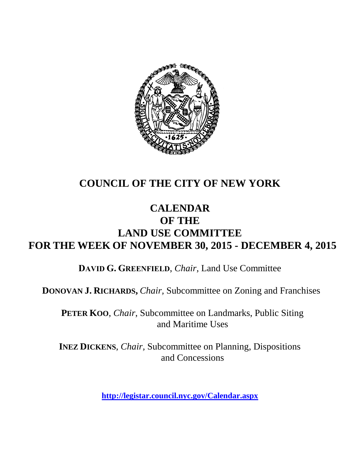

# **COUNCIL OF THE CITY OF NEW YORK**

# **CALENDAR OF THE LAND USE COMMITTEE FOR THE WEEK OF NOVEMBER 30, 2015 - DECEMBER 4, 2015**

**DAVID G. GREENFIELD**, *Chair*, Land Use Committee

**DONOVAN J. RICHARDS,** *Chair,* Subcommittee on Zoning and Franchises

**PETER KOO**, *Chair*, Subcommittee on Landmarks, Public Siting and Maritime Uses

**INEZ DICKENS**, *Chair,* Subcommittee on Planning, Dispositions and Concessions

**<http://legistar.council.nyc.gov/Calendar.aspx>**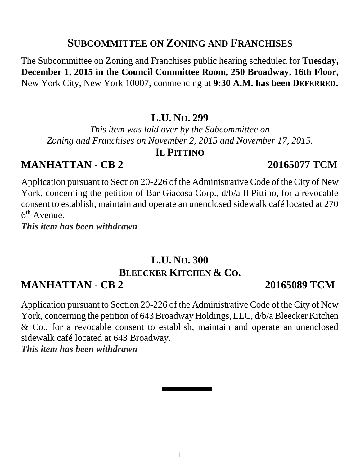# **SUBCOMMITTEE ON ZONING AND FRANCHISES**

The Subcommittee on Zoning and Franchises public hearing scheduled for **Tuesday, December 1, 2015 in the Council Committee Room, 250 Broadway, 16th Floor,**  New York City, New York 10007, commencing at **9:30 A.M. has been DEFERRED.**

## **L.U. NO. 299**

*This item was laid over by the Subcommittee on Zoning and Franchises on November 2, 2015 and November 17, 2015.* 

## **IL PITTINO**

# **MANHATTAN - CB 2 20165077 TCM**

Application pursuant to Section 20-226 of the Administrative Code of the City of New York, concerning the petition of Bar Giacosa Corp., d/b/a Il Pittino, for a revocable consent to establish, maintain and operate an unenclosed sidewalk café located at 270 6<sup>th</sup> Avenue.

*This item has been withdrawn*

# **L.U. NO. 300 BLEECKER KITCHEN & CO.**

# **MANHATTAN - CB 2 20165089 TCM**

Application pursuant to Section 20-226 of the Administrative Code of the City of New York, concerning the petition of 643 Broadway Holdings, LLC, d/b/a Bleecker Kitchen & Co., for a revocable consent to establish, maintain and operate an unenclosed sidewalk café located at 643 Broadway. *This item has been withdrawn*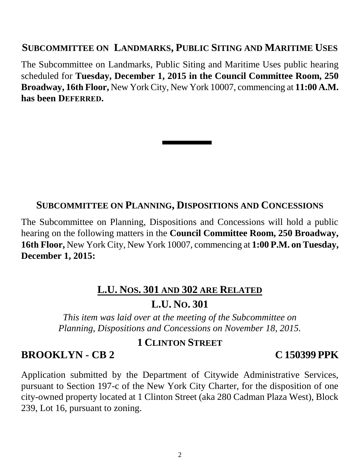### **SUBCOMMITTEE ON LANDMARKS, PUBLIC SITING AND MARITIME USES**

The Subcommittee on Landmarks, Public Siting and Maritime Uses public hearing scheduled for **Tuesday, December 1, 2015 in the Council Committee Room, 250 Broadway, 16th Floor,** New York City, New York 10007, commencing at **11:00 A.M. has been DEFERRED.**

### **SUBCOMMITTEE ON PLANNING, DISPOSITIONS AND CONCESSIONS**

The Subcommittee on Planning, Dispositions and Concessions will hold a public hearing on the following matters in the **Council Committee Room, 250 Broadway, 16th Floor,** New York City, New York 10007, commencing at **1:00 P.M. on Tuesday, December 1, 2015:**

### **L.U. NOS. 301 AND 302 ARE RELATED**

# **L.U. NO. 301**

*This item was laid over at the meeting of the Subcommittee on Planning, Dispositions and Concessions on November 18, 2015.* 

### **1 CLINTON STREET**

### **BROOKLYN - CB 2 C 150399 PPK**

Application submitted by the Department of Citywide Administrative Services, pursuant to Section 197-c of the New York City Charter, for the disposition of one city-owned property located at 1 Clinton Street (aka 280 Cadman Plaza West), Block 239, Lot 16, pursuant to zoning.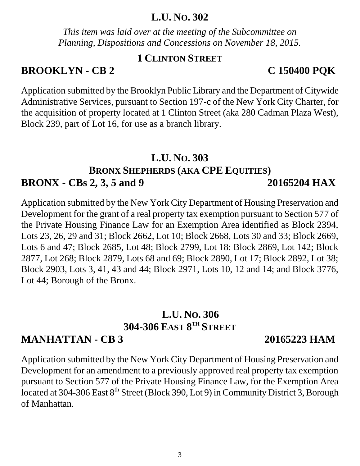**L.U. NO. 306 304-306 EAST 8 TH STREET MANHATTAN - CB 3 20165223 HAM**

# **BROOKLYN - CB 2 C 150400 PQK**

Application submitted by the Brooklyn Public Library and the Department of Citywide Administrative Services, pursuant to Section 197-c of the New York City Charter, for the acquisition of property located at 1 Clinton Street (aka 280 Cadman Plaza West), Block 239, part of Lot 16, for use as a branch library.

## **L.U. NO. 303**

# **BRONX SHEPHERDS (AKA CPE EQUITIES) BRONX - CBs 2, 3, 5 and 9 20165204 HAX**

Application submitted by the New York City Department of Housing Preservation and Development for the grant of a real property tax exemption pursuant to Section 577 of the Private Housing Finance Law for an Exemption Area identified as Block 2394, Lots 23, 26, 29 and 31; Block 2662, Lot 10; Block 2668, Lots 30 and 33; Block 2669, Lots 6 and 47; Block 2685, Lot 48; Block 2799, Lot 18; Block 2869, Lot 142; Block 2877, Lot 268; Block 2879, Lots 68 and 69; Block 2890, Lot 17; Block 2892, Lot 38; Block 2903, Lots 3, 41, 43 and 44; Block 2971, Lots 10, 12 and 14; and Block 3776, Lot 44; Borough of the Bronx.

Application submitted by the New York City Department of Housing Preservation and Development for an amendment to a previously approved real property tax exemption pursuant to Section 577 of the Private Housing Finance Law, for the Exemption Area located at 304-306 East 8<sup>th</sup> Street (Block 390, Lot 9) in Community District 3, Borough of Manhattan.

## **L.U. NO. 302**

*This item was laid over at the meeting of the Subcommittee on Planning, Dispositions and Concessions on November 18, 2015.* 

**1 CLINTON STREET**